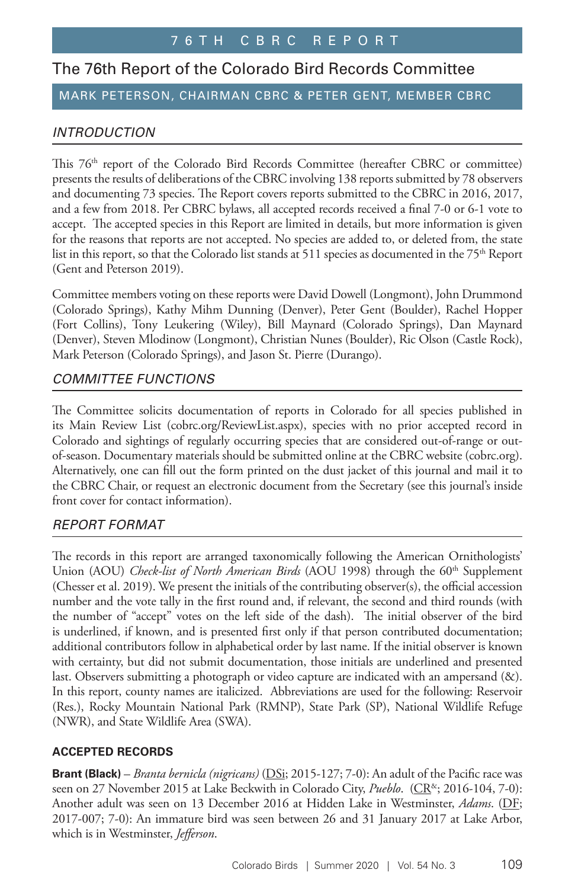# The 76th Report of the Colorado Bird Records Committee

## MARK PETERSON, CHAIRMAN CBRC & PETER GENT, MEMBER CBRC

## *INTRODUCTION*

This 76<sup>th</sup> report of the Colorado Bird Records Committee (hereafter CBRC or committee) presents the results of deliberations of the CBRC involving 138 reports submitted by 78 observers and documenting 73 species. The Report covers reports submitted to the CBRC in 2016, 2017, and a few from 2018. Per CBRC bylaws, all accepted records received a final 7-0 or 6-1 vote to accept. The accepted species in this Report are limited in details, but more information is given for the reasons that reports are not accepted. No species are added to, or deleted from, the state list in this report, so that the Colorado list stands at 511 species as documented in the  $75<sup>th</sup>$  Report (Gent and Peterson 2019).

Committee members voting on these reports were David Dowell (Longmont), John Drummond (Colorado Springs), Kathy Mihm Dunning (Denver), Peter Gent (Boulder), Rachel Hopper (Fort Collins), Tony Leukering (Wiley), Bill Maynard (Colorado Springs), Dan Maynard (Denver), Steven Mlodinow (Longmont), Christian Nunes (Boulder), Ric Olson (Castle Rock), Mark Peterson (Colorado Springs), and Jason St. Pierre (Durango).

### *COMMITTEE FUNCTIONS*

The Committee solicits documentation of reports in Colorado for all species published in its Main Review List (cobrc.org/ReviewList.aspx), species with no prior accepted record in Colorado and sightings of regularly occurring species that are considered out-of-range or outof-season. Documentary materials should be submitted online at the CBRC website (cobrc.org). Alternatively, one can fill out the form printed on the dust jacket of this journal and mail it to the CBRC Chair, or request an electronic document from the Secretary (see this journal's inside front cover for contact information).

### *REPORT FORMAT*

The records in this report are arranged taxonomically following the American Ornithologists' Union (AOU) *Check-list of North American Birds* (AOU 1998) through the 60<sup>th</sup> Supplement (Chesser et al. 2019). We present the initials of the contributing observer(s), the official accession number and the vote tally in the first round and, if relevant, the second and third rounds (with the number of "accept" votes on the left side of the dash). The initial observer of the bird is underlined, if known, and is presented first only if that person contributed documentation; additional contributors follow in alphabetical order by last name. If the initial observer is known with certainty, but did not submit documentation, those initials are underlined and presented last. Observers submitting a photograph or video capture are indicated with an ampersand (&). In this report, county names are italicized. Abbreviations are used for the following: Reservoir (Res.), Rocky Mountain National Park (RMNP), State Park (SP), National Wildlife Refuge (NWR), and State Wildlife Area (SWA).

### **ACCEPTED RECORDS**

**Brant (Black)** – *Branta bernicla (nigricans)* (DSi; 2015-127; 7-0): An adult of the Pacific race was seen on 27 November 2015 at Lake Beckwith in Colorado City, *Pueblo.* (CR<sup>&</sup>; 2016-104, 7-0): Another adult was seen on 13 December 2016 at Hidden Lake in Westminster, *Adams*. (DF; 2017-007; 7-0): An immature bird was seen between 26 and 31 January 2017 at Lake Arbor, which is in Westminster, *Jefferson*.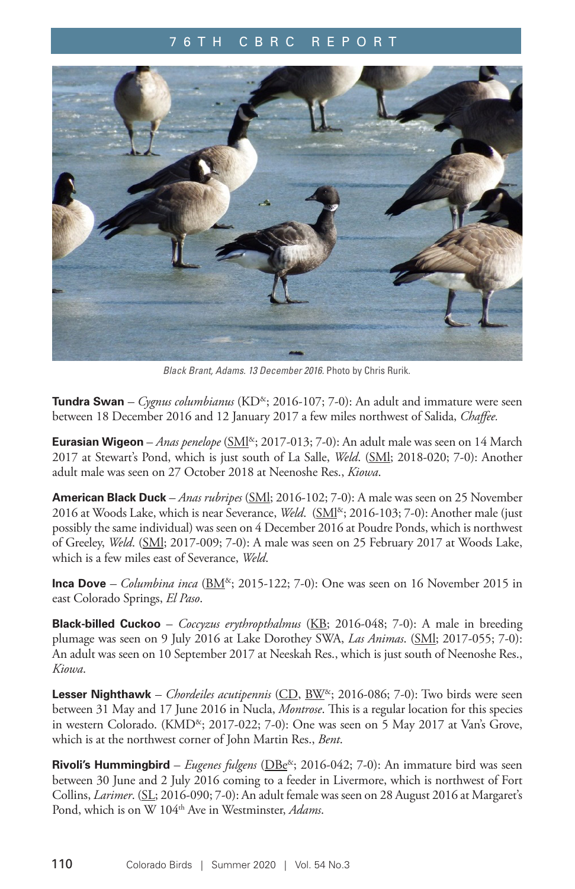

*Black Brant, Adams. 13 December 2016.* Photo by Chris Rurik.

**Tundra Swan** *– Cygnus columbianus* (KD&; 2016-107; 7-0): An adult and immature were seen between 18 December 2016 and 12 January 2017 a few miles northwest of Salida, *Chaffee.* 

**Eurasian Wigeon** – *Anas penelope* (*SMI<sup>x</sup>*; 2017-013; 7-0): An adult male was seen on 14 March 2017 at Stewart's Pond, which is just south of La Salle, *Weld*. (SMl; 2018-020; 7-0): Another adult male was seen on 27 October 2018 at Neenoshe Res., *Kiowa*.

**American Black Duck** – *Anas rubripes* (SMl; 2016-102; 7-0): A male was seen on 25 November 2016 at Woods Lake, which is near Severance, *Weld.* (SMI<sup>&</sup>; 2016-103; 7-0): Another male (just possibly the same individual) was seen on 4 December 2016 at Poudre Ponds, which is northwest of Greeley, *Weld*. (SMl; 2017-009; 7-0): A male was seen on 25 February 2017 at Woods Lake, which is a few miles east of Severance, *Weld*.

**Inca Dove** – *Columbina inca* ( $BM^{\alpha}$ ; 2015-122; 7-0): One was seen on 16 November 2015 in east Colorado Springs, *El Paso*.

**Black-billed Cuckoo** – *Coccyzus erythropthalmus* (KB; 2016-048; 7-0): A male in breeding plumage was seen on 9 July 2016 at Lake Dorothey SWA, *Las Animas*. (SMl; 2017-055; 7-0): An adult was seen on 10 September 2017 at Neeskah Res., which is just south of Neenoshe Res., *Kiowa*.

**Lesser Nighthawk** – *Chordeiles acutipennis* (CD, BW&; 2016-086; 7-0): Two birds were seen between 31 May and 17 June 2016 in Nucla, *Montrose*. This is a regular location for this species in western Colorado. (KMD<sup>&</sup>; 2017-022; 7-0): One was seen on 5 May 2017 at Van's Grove, which is at the northwest corner of John Martin Res., *Bent*.

**Rivoli's Hummingbird** – *Eugenes fulgens* (DBe<sup>&</sup>; 2016-042; 7-0): An immature bird was seen between 30 June and 2 July 2016 coming to a feeder in Livermore, which is northwest of Fort Collins, *Larimer*. (SL; 2016-090; 7-0): An adult female was seen on 28 August 2016 at Margaret's Pond, which is on W 104<sup>th</sup> Ave in Westminster, *Adams*.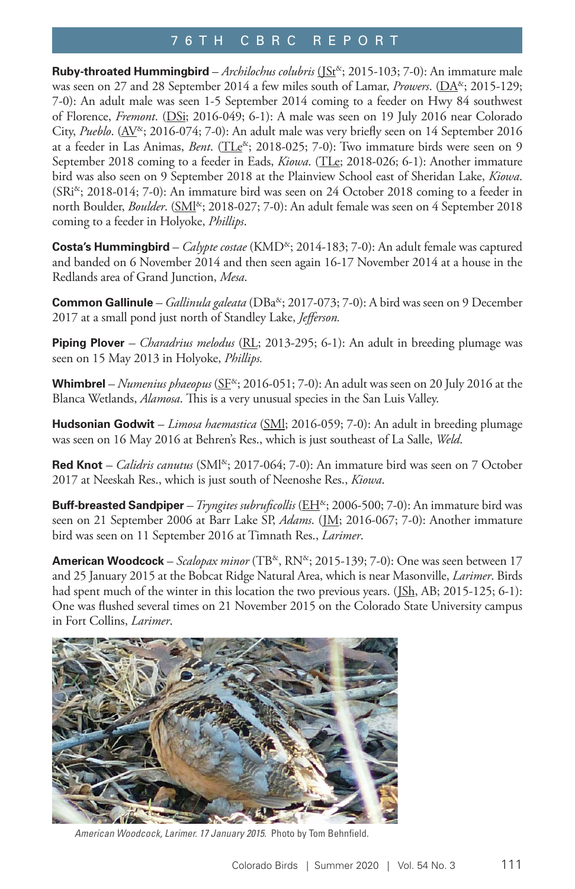**Ruby-throated Hummingbird** - *Archilochus colubris* (JSt<sup>&</sup>; 2015-103; 7-0): An immature male was seen on 27 and 28 September 2014 a few miles south of Lamar, *Prowers*. (DA<sup>&</sup>; 2015-129; 7-0): An adult male was seen 1-5 September 2014 coming to a feeder on Hwy 84 southwest of Florence, *Fremont*. (DSi; 2016-049; 6-1): A male was seen on 19 July 2016 near Colorado City, *Pueblo*. (AV<sup>&</sup>; 2016-074; 7-0): An adult male was very briefly seen on 14 September 2016 at a feeder in Las Animas, *Bent*. (TLe<sup>x</sup>; 2018-025; 7-0): Two immature birds were seen on 9 September 2018 coming to a feeder in Eads, *Kiowa*. (TLe; 2018-026; 6-1): Another immature bird was also seen on 9 September 2018 at the Plainview School east of Sheridan Lake, *Kiowa*. (SRi<sup>&</sup>; 2018-014; 7-0): An immature bird was seen on 24 October 2018 coming to a feeder in north Boulder, *Boulder*. (SMI<sup>&</sup>; 2018-027; 7-0): An adult female was seen on 4 September 2018 coming to a feeder in Holyoke, *Phillips*.

**Costa's Hummingbird** – *Calypte costae* (KMD<sup>&</sup>; 2014-183; 7-0): An adult female was captured and banded on 6 November 2014 and then seen again 16-17 November 2014 at a house in the Redlands area of Grand Junction, *Mesa*.

**Common Gallinule** – *Gallinula galeata* (DBa<sup>&</sup>; 2017-073; 7-0): A bird was seen on 9 December 2017 at a small pond just north of Standley Lake, *Jefferson.* 

**Piping Plover** *– Charadrius melodus* (RL; 2013-295; 6-1): An adult in breeding plumage was seen on 15 May 2013 in Holyoke, *Phillips.* 

Whimbrel – Numenius phaeopus (SF<sup>&</sup>; 2016-051; 7-0): An adult was seen on 20 July 2016 at the Blanca Wetlands, *Alamosa*. This is a very unusual species in the San Luis Valley.

**Hudsonian Godwit** – *Limosa haemastica* (SMl; 2016-059; 7-0): An adult in breeding plumage was seen on 16 May 2016 at Behren's Res., which is just southeast of La Salle, *Weld*.

**Red Knot** – *Calidris canutus* (SMI<sup>&</sup>; 2017-064; 7-0): An immature bird was seen on 7 October 2017 at Neeskah Res., which is just south of Neenoshe Res., *Kiowa*.

**Buff-breasted Sandpiper** – *Tryngites subruficollis* (*EH<sup>&</sup>*; 2006-500; 7-0): An immature bird was seen on 21 September 2006 at Barr Lake SP, *Adams*. (JM; 2016-067; 7-0): Another immature bird was seen on 11 September 2016 at Timnath Res., *Larimer*.

**American Woodcock** – *Scalopax minor* (TB<sup>&</sup>, RN<sup>&</sup>; 2015-139; 7-0): One was seen between 17 and 25 January 2015 at the Bobcat Ridge Natural Area, which is near Masonville, *Larimer*. Birds had spent much of the winter in this location the two previous years. (JSh, AB; 2015-125; 6-1): One was flushed several times on 21 November 2015 on the Colorado State University campus in Fort Collins, *Larimer*.



*American Woodcock, Larimer. 17 January 2015.* Photo by Tom Behnfield.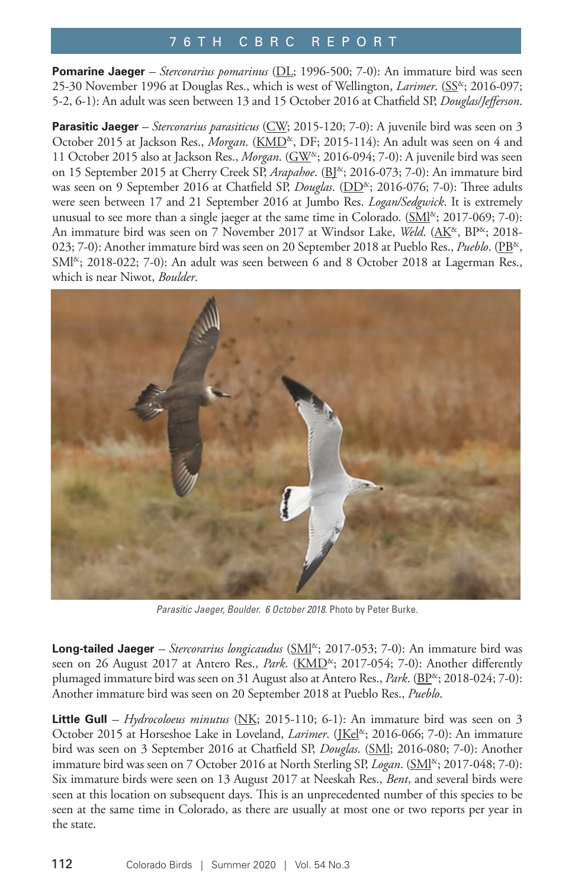**Pomarine Jaeger** *– Stercorarius pomarinus* (DL; 1996-500; 7-0): An immature bird was seen 25-30 November 1996 at Douglas Res., which is west of Wellington, *Larimer*. (SS<sup>\*</sup>; 2016-097; 5-2, 6-1): An adult was seen between 13 and 15 October 2016 at Chatfield SP, *Douglas/Jefferson*.

Parasitic Jaeger - Stercorarius parasiticus (CW; 2015-120; 7-0): A juvenile bird was seen on 3 October 2015 at Jackson Res., *Morgan*. (KMD<sup>&</sup>, DF; 2015-114): An adult was seen on 4 and 11 October 2015 also at Jackson Res., *Morgan*. (GW&; 2016-094; 7-0): A juvenile bird was seen on 15 September 2015 at Cherry Creek SP, *Arapahoe*. (B<sup>R</sup>; 2016-073; 7-0): An immature bird was seen on 9 September 2016 at Chatfield SP, *Douglas*. (DD<sup>&</sup>; 2016-076; 7-0): Three adults were seen between 17 and 21 September 2016 at Jumbo Res. *Logan/Sedgwick*. It is extremely unusual to see more than a single jaeger at the same time in Colorado.  $(SMI^{\&}$ ; 2017-069; 7-0): An immature bird was seen on 7 November 2017 at Windsor Lake, *Weld*. (AK<sup>&</sup>, BP<sup>&</sup>; 2018-023; 7-0): Another immature bird was seen on 20 September 2018 at Pueblo Res., *Pueblo*. (PB<sup>&</sup>,  $SMl^{\&}$ ; 2018-022; 7-0): An adult was seen between 6 and 8 October 2018 at Lagerman Res., which is near Niwot, *Boulder*.



Parasitic Jaeger, Boulder. 6 October 2018. Photo by Peter Burke.

**Long-tailed Jaeger** – Stercorarius longicaudus (SMI<sup>&</sup>; 2017-053; 7-0): An immature bird was seen on 26 August 2017 at Antero Res., *Park.* (KMD<sup>&</sup>; 2017-054; 7-0): Another differently plumaged immature bird was seen on 31 August also at Antero Res., *Park*. (BP<sup>&</sup>; 2018-024; 7-0): Another immature bird was seen on 20 September 2018 at Pueblo Res., *Pueblo*.

Little Gull *– Hydrocoloeus minutus* (NK; 2015-110; 6-1): An immature bird was seen on 3 October 2015 at Horseshoe Lake in Loveland, *Larimer*. (JKel<sup>&</sup>; 2016-066; 7-0): An immature bird was seen on 3 September 2016 at Chatfield SP, *Douglas*. (SMl; 2016-080; 7-0): Another immature bird was seen on 7 October 2016 at North Sterling SP, *Logan*. (SMI<sup>&</sup>; 2017-048; 7-0): Six immature birds were seen on 13 August 2017 at Neeskah Res., *Bent*, and several birds were seen at this location on subsequent days. This is an unprecedented number of this species to be seen at the same time in Colorado, as there are usually at most one or two reports per year in the state.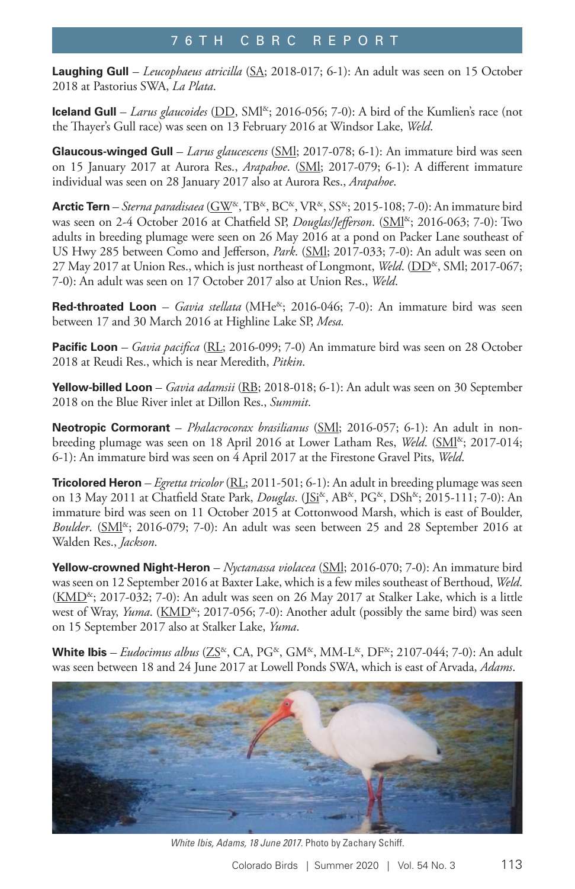**Laughing Gull** – *Leucophaeus atricilla* (SA; 2018-017; 6-1): An adult was seen on 15 October 2018 at Pastorius SWA, *La Plata*.

**Iceland Gull** – *Larus glaucoides* (DD, SMI<sup>&</sup>; 2016-056; 7-0): A bird of the Kumlien's race (not the Thayer's Gull race) was seen on 13 February 2016 at Windsor Lake, *Weld*.

**Glaucous-winged Gull** – *Larus glaucescens* (SMl; 2017-078; 6-1): An immature bird was seen on 15 January 2017 at Aurora Res., *Arapahoe*. (SMl; 2017-079; 6-1): A different immature individual was seen on 28 January 2017 also at Aurora Res., *Arapahoe*.

**Arctic Tern** – *Sterna paradisaea* (GW&, TB&, BC&, VR&, SS&; 2015-108; 7-0): An immature bird was seen on 2-4 October 2016 at Chatfield SP, *Douglas/Jefferson*. (SMI<sup>&</sup>; 2016-063; 7-0): Two adults in breeding plumage were seen on 26 May 2016 at a pond on Packer Lane southeast of US Hwy 285 between Como and Jefferson, *Park*. (SMl; 2017-033; 7-0): An adult was seen on 27 May 2017 at Union Res., which is just northeast of Longmont, *Weld.* (DD<sup>&</sup>, SMl; 2017-067; 7-0): An adult was seen on 17 October 2017 also at Union Res., *Weld*.

**Red-throated Loon** – *Gavia stellata* (MHe<sup>x</sup>; 2016-046; 7-0): An immature bird was seen between 17 and 30 March 2016 at Highline Lake SP, *Mesa.* 

**Pacific Loon** *– Gavia pacifica* (RL; 2016-099; 7-0) An immature bird was seen on 28 October 2018 at Reudi Res., which is near Meredith, *Pitkin*.

**Yellow-billed Loon** – *Gavia adamsii* (RB; 2018-018; 6-1): An adult was seen on 30 September 2018 on the Blue River inlet at Dillon Res., *Summit*.

**Neotropic Cormorant** – *Phalacrocorax brasilianus* (SMl; 2016-057; 6-1): An adult in nonbreeding plumage was seen on 18 April 2016 at Lower Latham Res, *Weld*. (SMI<sup>&</sup>; 2017-014; 6-1): An immature bird was seen on 4 April 2017 at the Firestone Gravel Pits, *Weld*.

**Tricolored Heron** *– Egretta tricolor* (RL; 2011-501; 6-1): An adult in breeding plumage was seen on 13 May 2011 at Chatfield State Park, *Douglas*. (JSi<sup>&</sup>, AB<sup>&</sup>, PG<sup>&</sup>, DSh<sup>&</sup>; 2015-111; 7-0): An immature bird was seen on 11 October 2015 at Cottonwood Marsh, which is east of Boulder, *Boulder*. (SM<sup><sup>&</sup>; 2016-079; 7-0): An adult was seen between 25 and 28 September 2016 at</sup> Walden Res., *Jackson*.

**Yellow-crowned Night-Heron** – *Nyctanassa violacea* (SMl; 2016-070; 7-0): An immature bird was seen on 12 September 2016 at Baxter Lake, which is a few miles southeast of Berthoud, *Weld*.  $(KMD^{\&}; 2017-032; 7-0)$ : An adult was seen on 26 May 2017 at Stalker Lake, which is a little west of Wray, *Yuma*. (KMD<sup>&</sup>; 2017-056; 7-0): Another adult (possibly the same bird) was seen on 15 September 2017 also at Stalker Lake, *Yuma*.

**White Ibis** – *Eudocimus albus* (ZS<sup>&</sup>, CA, PG<sup>&</sup>, GM<sup>&</sup>, MM-L<sup>&</sup>, DF<sup>&</sup>; 2107-044; 7-0): An adult was seen between 18 and 24 June 2017 at Lowell Ponds SWA, which is east of Arvada, *Adams*.



*White Ibis, Adams, 18 June 2017.* Photo by Zachary Schiff.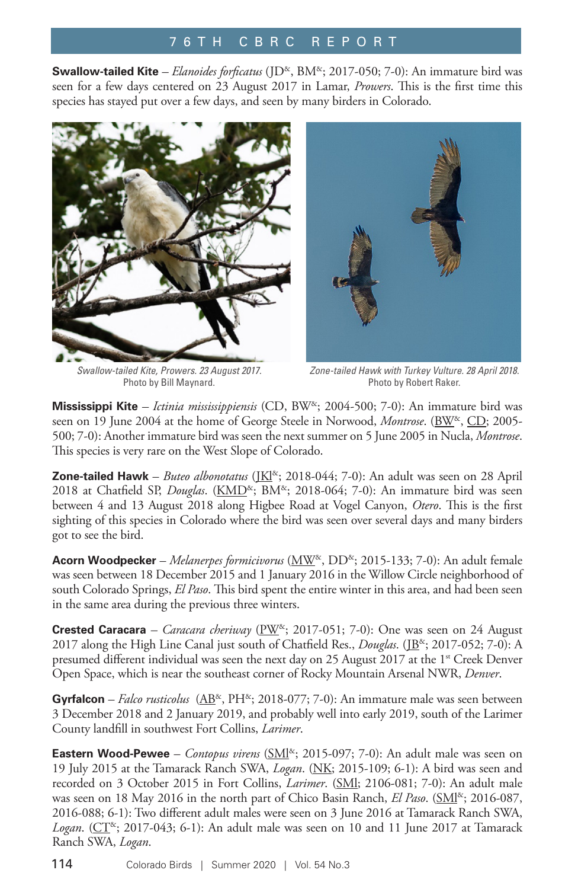**Swallow-tailed Kite** – *Elanoides forficatus* (JD<sup>&</sup>, BM<sup>&</sup>; 2017-050; 7-0): An immature bird was seen for a few days centered on 23 August 2017 in Lamar, *Prowers*. This is the first time this species has stayed put over a few days, and seen by many birders in Colorado.



*Swallow-tailed Kite, Prowers. 23 August 2017.*  Photo by Bill Maynard.



*Zone-tailed Hawk with Turkey Vulture. 28 April 2018.*  Photo by Robert Raker.

**Mississippi Kite** *– Ictinia mississippiensis* (CD, BW&; 2004-500; 7-0): An immature bird was seen on 19 June 2004 at the home of George Steele in Norwood, *Montrose*. (BW<sup>&</sup>, CD; 2005-500; 7-0): Another immature bird was seen the next summer on 5 June 2005 in Nucla, *Montrose*. This species is very rare on the West Slope of Colorado.

**Zone-tailed Hawk** – *Buteo albonotatus* (JKl<sup>&</sup>; 2018-044; 7-0): An adult was seen on 28 April 2018 at Chatfield SP, *Douglas*. (KMD<sup>&</sup>; BM<sup>&</sup>; 2018-064; 7-0): An immature bird was seen between 4 and 13 August 2018 along Higbee Road at Vogel Canyon, *Otero*. This is the first sighting of this species in Colorado where the bird was seen over several days and many birders got to see the bird.

**Acorn Woodpecker** – *Melanerpes formicivorus* ( $\text{MW}^{\alpha}$ , DD<sup> $\alpha$ </sup>; 2015-133; 7-0): An adult female was seen between 18 December 2015 and 1 January 2016 in the Willow Circle neighborhood of south Colorado Springs, *El Paso*. This bird spent the entire winter in this area, and had been seen in the same area during the previous three winters.

**Crested Caracara** – *Caracara cheriway* ( $\frac{P}{W^{\alpha}}$ ; 2017-051; 7-0): One was seen on 24 August 2017 along the High Line Canal just south of Chatfield Res., *Douglas*. (JB<sup>&</sup>; 2017-052; 7-0): A presumed different individual was seen the next day on 25 August 2017 at the 1<sup>st</sup> Creek Denver Open Space, which is near the southeast corner of Rocky Mountain Arsenal NWR, *Denver*.

Gyrfalcon – *Falco rusticolus* ( $AB^{\alpha}$ , PH<sup> $\alpha$ </sup>; 2018-077; 7-0): An immature male was seen between 3 December 2018 and 2 January 2019, and probably well into early 2019, south of the Larimer County landfill in southwest Fort Collins, *Larimer*.

**Eastern Wood-Pewee** – *Contopus virens* (*SMI<sup>&</sup>*; 2015-097; 7-0): An adult male was seen on 19 July 2015 at the Tamarack Ranch SWA, *Logan*. (NK; 2015-109; 6-1): A bird was seen and recorded on 3 October 2015 in Fort Collins, *Larimer*. (SMl; 2106-081; 7-0): An adult male was seen on 18 May 2016 in the north part of Chico Basin Ranch, *El Paso*. (SMI<sup>&</sup>; 2016-087, 2016-088; 6-1): Two different adult males were seen on 3 June 2016 at Tamarack Ranch SWA, *Logan.* ( $CT^{\&}$ ; 2017-043; 6-1): An adult male was seen on 10 and 11 June 2017 at Tamarack Ranch SWA, *Logan*.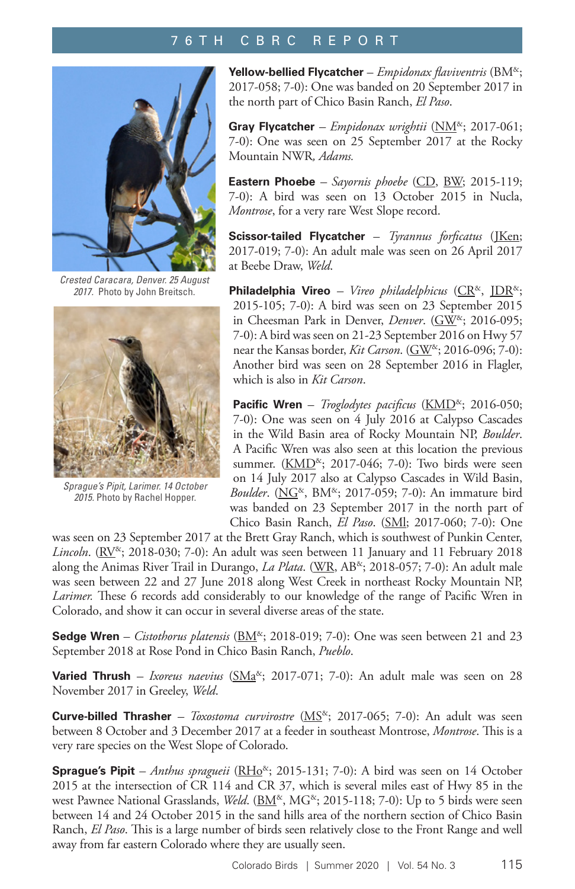

*Crested Caracara, Denver. 25 August 2017.* Photo by John Breitsch.



*Sprague's Pipit, Larimer. 14 October 2015.* Photo by Rachel Hopper.

**Yellow-bellied Flycatcher** – *Empidonax flaviventris* (BM&; 2017-058; 7-0): One was banded on 20 September 2017 in the north part of Chico Basin Ranch, *El Paso*.

**Gray Flycatcher** *– Empidonax wrightii* (NM&; 2017-061; 7-0): One was seen on 25 September 2017 at the Rocky Mountain NWR*, Adams.* 

**Eastern Phoebe** *– Sayornis phoebe* (CD, BW; 2015-119; 7-0): A bird was seen on 13 October 2015 in Nucla, *Montrose*, for a very rare West Slope record.

**Scissor-tailed Flycatcher** – *Tyrannus forficatus* (JKen; 2017-019; 7-0): An adult male was seen on 26 April 2017 at Beebe Draw, *Weld*.

Philadelphia Vireo - Vireo philadelphicus (CR<sup>&</sup>, JDR<sup>&</sup>; 2015-105; 7-0): A bird was seen on 23 September 2015 in Cheesman Park in Denver, *Denver*. (GW<sup>&</sup>; 2016-095; 7-0): A bird was seen on 21-23 September 2016 on Hwy 57 near the Kansas border, *Kit Carson*. (GW<sup>&</sup>; 2016-096; 7-0): Another bird was seen on 28 September 2016 in Flagler, which is also in *Kit Carson*.

**Pacific Wren** – *Troglodytes pacificus* (KMD<sup>&</sup>; 2016-050; 7-0): One was seen on 4 July 2016 at Calypso Cascades in the Wild Basin area of Rocky Mountain NP, *Boulder*. A Pacific Wren was also seen at this location the previous summer.  $(KMD^{\alpha}; 2017-046; 7-0)$ : Two birds were seen on 14 July 2017 also at Calypso Cascades in Wild Basin, *Boulder*. (NG<sup>&</sup>, BM<sup>&</sup>; 2017-059; 7-0): An immature bird was banded on 23 September 2017 in the north part of Chico Basin Ranch, *El Paso*. (SMl; 2017-060; 7-0): One

was seen on 23 September 2017 at the Brett Gray Ranch, which is southwest of Punkin Center, *Lincoln*. ( $RV^{\alpha}$ ; 2018-030; 7-0): An adult was seen between 11 January and 11 February 2018 along the Animas River Trail in Durango, *La Plata*. (WR, AB<sup>&</sup>; 2018-057; 7-0): An adult male was seen between 22 and 27 June 2018 along West Creek in northeast Rocky Mountain NP, *Larimer.* These 6 records add considerably to our knowledge of the range of Pacific Wren in Colorado, and show it can occur in several diverse areas of the state.

**Sedge Wren** – *Cistothorus platensis* ( $BM^{\alpha}$ ; 2018-019; 7-0): One was seen between 21 and 23 September 2018 at Rose Pond in Chico Basin Ranch, *Pueblo*.

**Varied Thrush** *– Ixoreus naevius* (SMa<sup>&</sup>; 2017-071; 7-0): An adult male was seen on 28 November 2017 in Greeley, *Weld*.

**Curve-billed Thrasher** *– Toxostoma curvirostre* ( $MS<sup>α</sup>$ ; 2017-065; 7-0): An adult was seen between 8 October and 3 December 2017 at a feeder in southeast Montrose, *Montrose*. This is a very rare species on the West Slope of Colorado.

**Sprague's Pipit** – *Anthus spragueii* (RHo<sup>&</sup>; 2015-131; 7-0): A bird was seen on 14 October 2015 at the intersection of CR 114 and CR 37, which is several miles east of Hwy 85 in the west Pawnee National Grasslands, *Weld*. (BM<sup>&</sup>, MG<sup>&</sup>; 2015-118; 7-0): Up to 5 birds were seen between 14 and 24 October 2015 in the sand hills area of the northern section of Chico Basin Ranch, *El Paso*. This is a large number of birds seen relatively close to the Front Range and well away from far eastern Colorado where they are usually seen.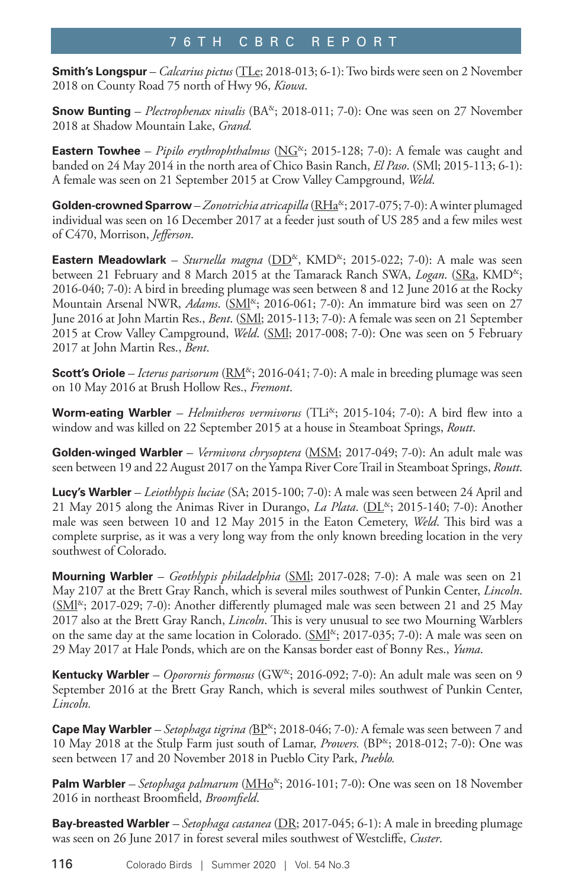**Smith's Longspur** – *Calcarius pictus* (TLe; 2018-013; 6-1): Two birds were seen on 2 November 2018 on County Road 75 north of Hwy 96, *Kiowa*.

**Snow Bunting** – *Plectrophenax nivalis* (BA<sup>&</sup>; 2018-011; 7-0): One was seen on 27 November 2018 at Shadow Mountain Lake, *Grand.* 

**Eastern Towhee** – *Pipilo erythrophthalmus* ( $\overline{NG}^{\&}$ ; 2015-128; 7-0): A female was caught and banded on 24 May 2014 in the north area of Chico Basin Ranch, *El Paso*. (SMl; 2015-113; 6-1): A female was seen on 21 September 2015 at Crow Valley Campground, *Weld*.

Golden-crowned Sparrow - Zonotrichia atricapilla (RHa<sup>&</sup>; 2017-075; 7-0): A winter plumaged individual was seen on 16 December 2017 at a feeder just south of US 285 and a few miles west of C470, Morrison, *Jefferson*.

**Eastern Meadowlark** – *Sturnella magna* (DD<sup>&</sup>, KMD<sup>&</sup>; 2015-022; 7-0): A male was seen between 21 February and 8 March 2015 at the Tamarack Ranch SWA, *Logan*. (SRa, KMD<sup>&</sup>; 2016-040; 7-0): A bird in breeding plumage was seen between 8 and 12 June 2016 at the Rocky Mountain Arsenal NWR, *Adams*. (SM<sup>[&</sup>; 2016-061; 7-0): An immature bird was seen on 27 June 2016 at John Martin Res., *Bent*. (SMl; 2015-113; 7-0): A female was seen on 21 September 2015 at Crow Valley Campground, *Weld*. (SMl; 2017-008; 7-0): One was seen on 5 February 2017 at John Martin Res., *Bent*.

**Scott's Oriole** – *Icterus parisorum* ( $RM^{\alpha}$ ; 2016-041; 7-0): A male in breeding plumage was seen on 10 May 2016 at Brush Hollow Res., *Fremont*.

**Worm-eating Warbler** *– Helmitheros vermivorus* (TLi<sup>&</sup>; 2015-104; 7-0): A bird flew into a window and was killed on 22 September 2015 at a house in Steamboat Springs, *Routt*.

**Golden-winged Warbler** – *Vermivora chrysoptera* (MSM; 2017-049; 7-0): An adult male was seen between 19 and 22 August 2017 on the Yampa River Core Trail in Steamboat Springs, *Routt*.

**Lucy's Warbler** – *Leiothlypis luciae* (SA; 2015-100; 7-0): A male was seen between 24 April and 21 May 2015 along the Animas River in Durango, *La Plata*. ( $DL^{\alpha}$ ; 2015-140; 7-0): Another male was seen between 10 and 12 May 2015 in the Eaton Cemetery, *Weld*. This bird was a complete surprise, as it was a very long way from the only known breeding location in the very southwest of Colorado.

**Mourning Warbler** – *Geothlypis philadelphia* (SMl; 2017-028; 7-0): A male was seen on 21 May 2107 at the Brett Gray Ranch, which is several miles southwest of Punkin Center, *Lincoln*.  $(SM<sup>8</sup>; 2017-029; 7-0)$ : Another differently plumaged male was seen between 21 and 25 May 2017 also at the Brett Gray Ranch, *Lincoln*. This is very unusual to see two Mourning Warblers on the same day at the same location in Colorado.  $(SMI<sup>8</sup>; 2017-035; 7-0)$ : A male was seen on 29 May 2017 at Hale Ponds, which are on the Kansas border east of Bonny Res., *Yuma*.

**Kentucky Warbler** *– Oporornis formosus* (GW&; 2016-092; 7-0): An adult male was seen on 9 September 2016 at the Brett Gray Ranch, which is several miles southwest of Punkin Center, *Lincoln.* 

**Cape May Warbler** – *Setophaga tigrina* ( $B\text{P}^{\&}$ ; 2018-046; 7-0)*:* A female was seen between 7 and 10 May 2018 at the Stulp Farm just south of Lamar, *Prowers.* (BP&; 2018-012; 7-0): One was seen between 17 and 20 November 2018 in Pueblo City Park, *Pueblo.* 

Palm Warbler *– Setophaga palmarum* (MH<sub>O</sub><sup>&</sup>; 2016-101; 7-0): One was seen on 18 November 2016 in northeast Broomfield, *Broomfield*.

**Bay-breasted Warbler** – *Setophaga castanea* (DR; 2017-045; 6-1): A male in breeding plumage was seen on 26 June 2017 in forest several miles southwest of Westcliffe, *Custer*.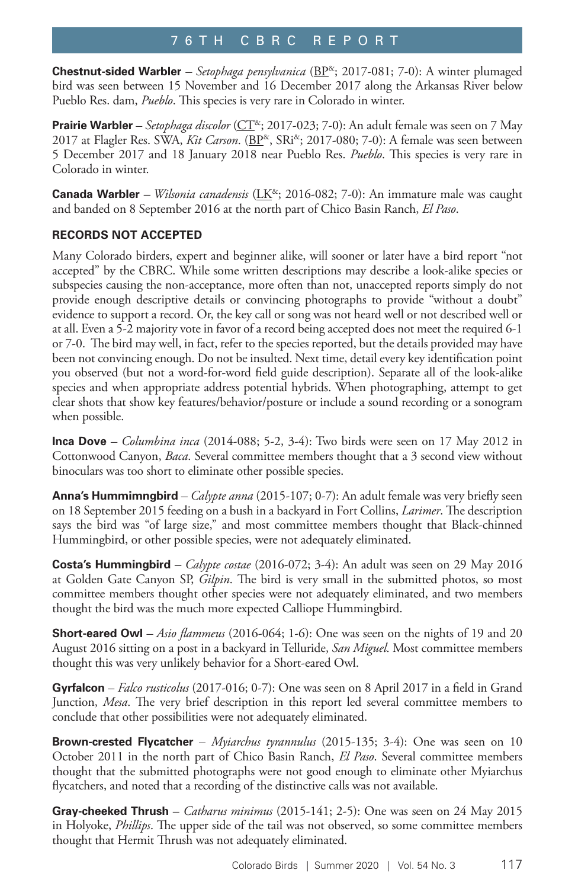**Chestnut-sided Warbler** – Setophaga pensylvanica (BP<sup>&</sup>; 2017-081; 7-0): A winter plumaged bird was seen between 15 November and 16 December 2017 along the Arkansas River below Pueblo Res. dam, *Pueblo*. This species is very rare in Colorado in winter.

**Prairie Warbler** – *Setophaga discolor* (CT<sup>x</sup>; 2017-023; 7-0): An adult female was seen on 7 May 2017 at Flagler Res. SWA, *Kit Carson*. (BP<sup>&</sup>, SRi<sup>&</sup>; 2017-080; 7-0): A female was seen between 5 December 2017 and 18 January 2018 near Pueblo Res. *Pueblo*. This species is very rare in Colorado in winter.

**Canada Warbler** – Wilsonia canadensis (LK<sup>&</sup>; 2016-082; 7-0): An immature male was caught and banded on 8 September 2016 at the north part of Chico Basin Ranch, *El Paso*.

### **RECORDS NOT ACCEPTED**

Many Colorado birders, expert and beginner alike, will sooner or later have a bird report "not accepted" by the CBRC. While some written descriptions may describe a look-alike species or subspecies causing the non-acceptance, more often than not, unaccepted reports simply do not provide enough descriptive details or convincing photographs to provide "without a doubt" evidence to support a record. Or, the key call or song was not heard well or not described well or at all. Even a 5-2 majority vote in favor of a record being accepted does not meet the required 6-1 or 7-0. The bird may well, in fact, refer to the species reported, but the details provided may have been not convincing enough. Do not be insulted. Next time, detail every key identification point you observed (but not a word-for-word field guide description). Separate all of the look-alike species and when appropriate address potential hybrids. When photographing, attempt to get clear shots that show key features/behavior/posture or include a sound recording or a sonogram when possible.

**Inca Dove** *– Columbina inca* (2014-088; 5-2, 3-4): Two birds were seen on 17 May 2012 in Cottonwood Canyon, *Baca*. Several committee members thought that a 3 second view without binoculars was too short to eliminate other possible species.

**Anna's Hummimngbird** *– Calypte anna* (2015-107; 0-7): An adult female was very briefly seen on 18 September 2015 feeding on a bush in a backyard in Fort Collins, *Larimer*. The description says the bird was "of large size," and most committee members thought that Black-chinned Hummingbird, or other possible species, were not adequately eliminated.

**Costa's Hummingbird** *– Calypte costae* (2016-072; 3-4): An adult was seen on 29 May 2016 at Golden Gate Canyon SP, *Gilpin*. The bird is very small in the submitted photos, so most committee members thought other species were not adequately eliminated, and two members thought the bird was the much more expected Calliope Hummingbird.

**Short-eared Owl** *– Asio flammeus* (2016-064; 1-6): One was seen on the nights of 19 and 20 August 2016 sitting on a post in a backyard in Telluride, *San Miguel*. Most committee members thought this was very unlikely behavior for a Short-eared Owl.

**Gyrfalcon** – *Falco rusticolus* (2017-016; 0-7): One was seen on 8 April 2017 in a field in Grand Junction, *Mesa*. The very brief description in this report led several committee members to conclude that other possibilities were not adequately eliminated.

**Brown-crested Flycatcher** – *Myiarchus tyrannulus* (2015-135; 3-4): One was seen on 10 October 2011 in the north part of Chico Basin Ranch, *El Paso*. Several committee members thought that the submitted photographs were not good enough to eliminate other Myiarchus flycatchers, and noted that a recording of the distinctive calls was not available.

**Gray-cheeked Thrush** – *Catharus minimus* (2015-141; 2-5): One was seen on 24 May 2015 in Holyoke, *Phillips*. The upper side of the tail was not observed, so some committee members thought that Hermit Thrush was not adequately eliminated.